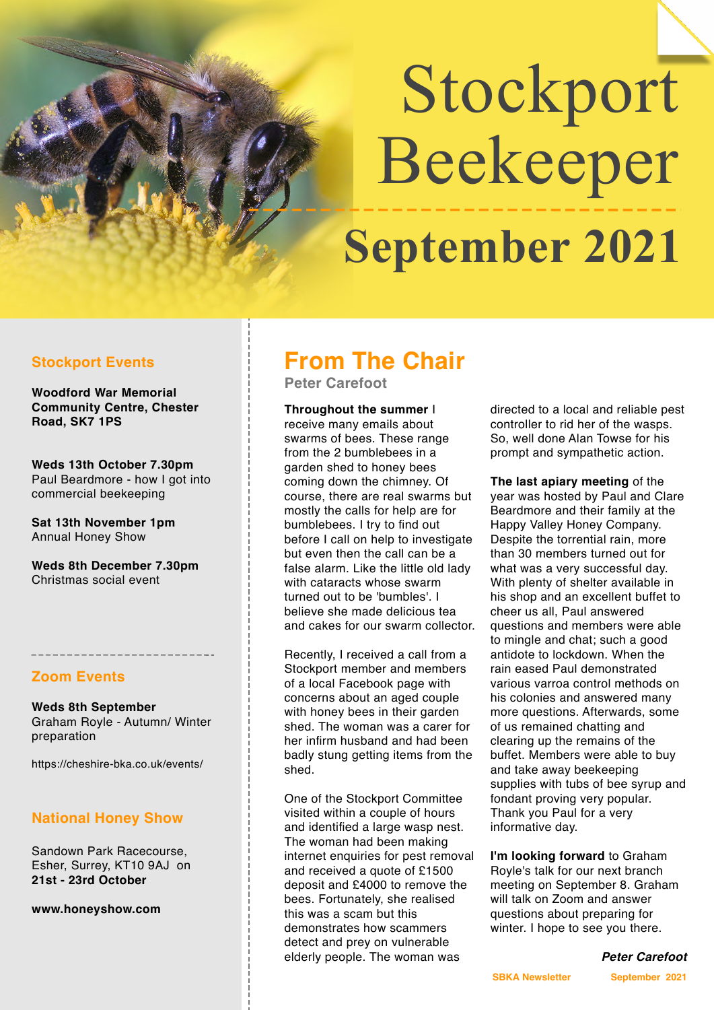# Stockport Beekeeper **September 2021**

## **Stockport Events**

**Woodford War Memorial Community Centre, Chester Road, SK7 1PS** 

**Weds 13th October 7.30pm** Paul Beardmore - how I got into commercial beekeeping

**Sat 13th November 1pm** Annual Honey Show

**Weds 8th December 7.30pm** Christmas social event

#### **Zoom Events**

**Weds 8th September** Graham Royle - Autumn/ Winter preparation

https://cheshire-bka.co.uk/events/

# **National Honey Show**

Sandown Park Racecourse, Esher, Surrey, KT10 9AJ on **21st - 23rd October**

**[www.honeyshow.com](http://www.honeyshow.com/)**

# **From The Chair**

**Peter Carefoot** 

**Throughout the summer** I receive many emails about swarms of bees. These range from the 2 bumblebees in a garden shed to honey bees coming down the chimney. Of course, there are real swarms but mostly the calls for help are for bumblebees. I try to find out before I call on help to investigate but even then the call can be a false alarm. Like the little old lady with cataracts whose swarm turned out to be 'bumbles'. I believe she made delicious tea and cakes for our swarm collector.

Recently, I received a call from a Stockport member and members of a local Facebook page with concerns about an aged couple with honey bees in their garden shed. The woman was a carer for her infirm husband and had been badly stung getting items from the shed.

One of the Stockport Committee visited within a couple of hours and identified a large wasp nest. The woman had been making internet enquiries for pest removal and received a quote of £1500 deposit and £4000 to remove the bees. Fortunately, she realised this was a scam but this demonstrates how scammers detect and prey on vulnerable elderly people. The woman was

directed to a local and reliable pest controller to rid her of the wasps. So, well done Alan Towse for his prompt and sympathetic action.

**The last apiary meeting** of the year was hosted by Paul and Clare Beardmore and their family at the Happy Valley Honey Company. Despite the torrential rain, more than 30 members turned out for what was a very successful day. With plenty of shelter available in his shop and an excellent buffet to cheer us all, Paul answered questions and members were able to mingle and chat; such a good antidote to lockdown. When the rain eased Paul demonstrated various varroa control methods on his colonies and answered many more questions. Afterwards, some of us remained chatting and clearing up the remains of the buffet. Members were able to buy and take away beekeeping supplies with tubs of bee syrup and fondant proving very popular. Thank you Paul for a very informative day.

**I'm looking forward** to Graham Royle's talk for our next branch meeting on September 8. Graham will talk on Zoom and answer questions about preparing for winter. I hope to see you there.

*Peter Carefoot*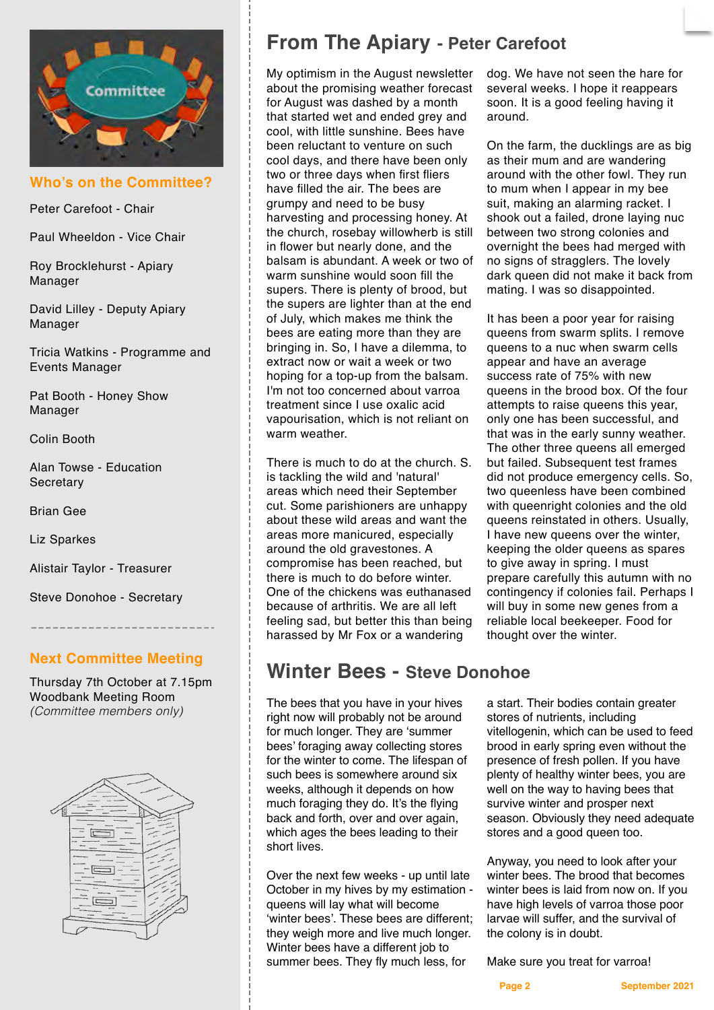

**Who's on the Committee?**

Peter Carefoot - Chair

Paul Wheeldon - Vice Chair

Roy Brocklehurst - Apiary Manager

David Lilley - Deputy Apiary Manager

Tricia Watkins - Programme and Events Manager

Pat Booth - Honey Show Manager

Colin Booth

Alan Towse - Education **Secretary** 

Brian Gee

Liz Sparkes

Alistair Taylor - Treasurer

Steve Donohoe - Secretary

## **Next Committee Meeting**

Thursday 7th October at 7.15pm Woodbank Meeting Room *(Committee members only)*



# **From The Apiary - Peter Carefoot**

My optimism in the August newsletter about the promising weather forecast for August was dashed by a month that started wet and ended grey and cool, with little sunshine. Bees have been reluctant to venture on such cool days, and there have been only two or three days when first fliers have filled the air. The bees are grumpy and need to be busy harvesting and processing honey. At the church, rosebay willowherb is still in flower but nearly done, and the balsam is abundant. A week or two of warm sunshine would soon fill the supers. There is plenty of brood, but the supers are lighter than at the end of July, which makes me think the bees are eating more than they are bringing in. So, I have a dilemma, to extract now or wait a week or two hoping for a top-up from the balsam. I'm not too concerned about varroa treatment since I use oxalic acid vapourisation, which is not reliant on warm weather.

There is much to do at the church. S. is tackling the wild and 'natural' areas which need their September cut. Some parishioners are unhappy about these wild areas and want the areas more manicured, especially around the old gravestones. A compromise has been reached, but there is much to do before winter. One of the chickens was euthanased because of arthritis. We are all left feeling sad, but better this than being harassed by Mr Fox or a wandering

# **Winter Bees - Steve Donohoe**

The bees that you have in your hives right now will probably not be around for much longer. They are 'summer bees' foraging away collecting stores for the winter to come. The lifespan of such bees is somewhere around six weeks, although it depends on how much foraging they do. It's the flying back and forth, over and over again, which ages the bees leading to their short lives.

Over the next few weeks - up until late October in my hives by my estimation queens will lay what will become 'winter bees'. These bees are different; they weigh more and live much longer. Winter bees have a different job to summer bees. They fly much less, for

dog. We have not seen the hare for several weeks. I hope it reappears soon. It is a good feeling having it around.

On the farm, the ducklings are as big as their mum and are wandering around with the other fowl. They run to mum when I appear in my bee suit, making an alarming racket. I shook out a failed, drone laying nuc between two strong colonies and overnight the bees had merged with no signs of stragglers. The lovely dark queen did not make it back from mating. I was so disappointed.

It has been a poor year for raising queens from swarm splits. I remove queens to a nuc when swarm cells appear and have an average success rate of 75% with new queens in the brood box. Of the four attempts to raise queens this year, only one has been successful, and that was in the early sunny weather. The other three queens all emerged but failed. Subsequent test frames did not produce emergency cells. So, two queenless have been combined with queenright colonies and the old queens reinstated in others. Usually, I have new queens over the winter, keeping the older queens as spares to give away in spring. I must prepare carefully this autumn with no contingency if colonies fail. Perhaps I will buy in some new genes from a reliable local beekeeper. Food for thought over the winter.

a start. Their bodies contain greater stores of nutrients, including vitellogenin, which can be used to feed brood in early spring even without the presence of fresh pollen. If you have plenty of healthy winter bees, you are well on the way to having bees that survive winter and prosper next season. Obviously they need adequate stores and a good queen too.

Anyway, you need to look after your winter bees. The brood that becomes winter bees is laid from now on. If you have high levels of varroa those poor larvae will suffer, and the survival of the colony is in doubt.

Make sure you treat for varroa!